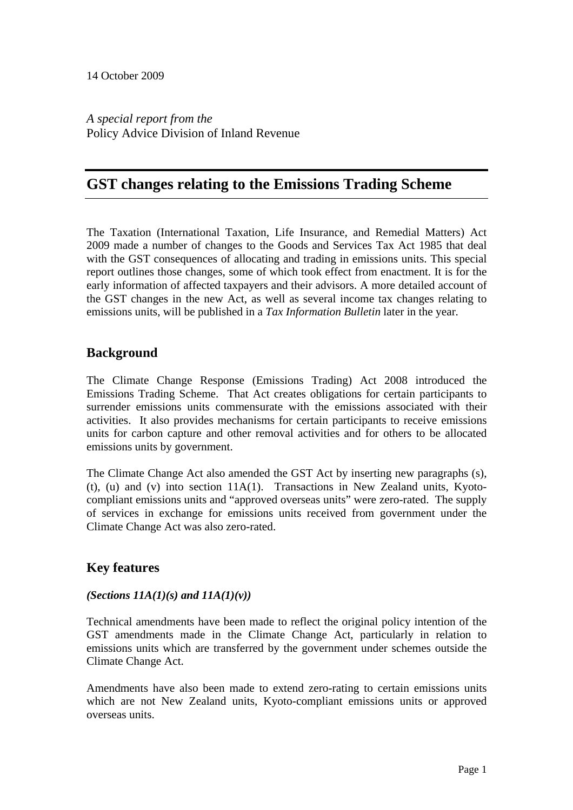*A special report from the*  Policy Advice Division of Inland Revenue

# **GST changes relating to the Emissions Trading Scheme**

The Taxation (International Taxation, Life Insurance, and Remedial Matters) Act 2009 made a number of changes to the Goods and Services Tax Act 1985 that deal with the GST consequences of allocating and trading in emissions units. This special report outlines those changes, some of which took effect from enactment. It is for the early information of affected taxpayers and their advisors. A more detailed account of the GST changes in the new Act, as well as several income tax changes relating to emissions units, will be published in a *Tax Information Bulletin* later in the year*.*

# **Background**

The Climate Change Response (Emissions Trading) Act 2008 introduced the Emissions Trading Scheme. That Act creates obligations for certain participants to surrender emissions units commensurate with the emissions associated with their activities. It also provides mechanisms for certain participants to receive emissions units for carbon capture and other removal activities and for others to be allocated emissions units by government.

The Climate Change Act also amended the GST Act by inserting new paragraphs (s), (t), (u) and (v) into section 11A(1). Transactions in New Zealand units, Kyotocompliant emissions units and "approved overseas units" were zero-rated. The supply of services in exchange for emissions units received from government under the Climate Change Act was also zero-rated.

# **Key features**

# *(Sections 11A(1)(s) and 11A(1)(v))*

Technical amendments have been made to reflect the original policy intention of the GST amendments made in the Climate Change Act, particularly in relation to emissions units which are transferred by the government under schemes outside the Climate Change Act.

Amendments have also been made to extend zero-rating to certain emissions units which are not New Zealand units, Kyoto-compliant emissions units or approved overseas units.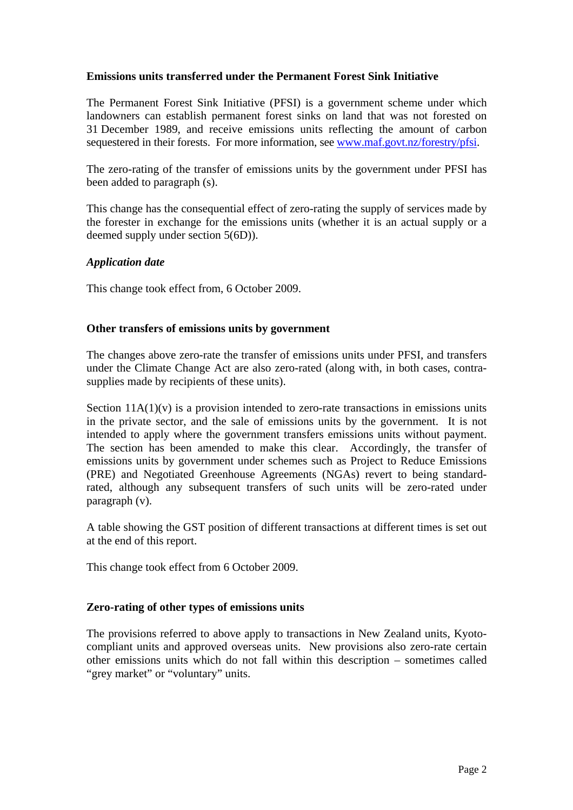### **Emissions units transferred under the Permanent Forest Sink Initiative**

The Permanent Forest Sink Initiative (PFSI) is a government scheme under which landowners can establish permanent forest sinks on land that was not forested on 31 December 1989, and receive emissions units reflecting the amount of carbon sequestered in their forests. For more information, see www.maf.govt.nz/forestry/pfsi.

The zero-rating of the transfer of emissions units by the government under PFSI has been added to paragraph (s).

This change has the consequential effect of zero-rating the supply of services made by the forester in exchange for the emissions units (whether it is an actual supply or a deemed supply under section 5(6D)).

## *Application date*

This change took effect from, 6 October 2009.

### **Other transfers of emissions units by government**

The changes above zero-rate the transfer of emissions units under PFSI, and transfers under the Climate Change Act are also zero-rated (along with, in both cases, contrasupplies made by recipients of these units).

Section  $11A(1)(v)$  is a provision intended to zero-rate transactions in emissions units in the private sector, and the sale of emissions units by the government. It is not intended to apply where the government transfers emissions units without payment. The section has been amended to make this clear. Accordingly, the transfer of emissions units by government under schemes such as Project to Reduce Emissions (PRE) and Negotiated Greenhouse Agreements (NGAs) revert to being standardrated, although any subsequent transfers of such units will be zero-rated under paragraph (v).

A table showing the GST position of different transactions at different times is set out at the end of this report.

This change took effect from 6 October 2009.

### **Zero-rating of other types of emissions units**

The provisions referred to above apply to transactions in New Zealand units, Kyotocompliant units and approved overseas units. New provisions also zero-rate certain other emissions units which do not fall within this description – sometimes called "grey market" or "voluntary" units.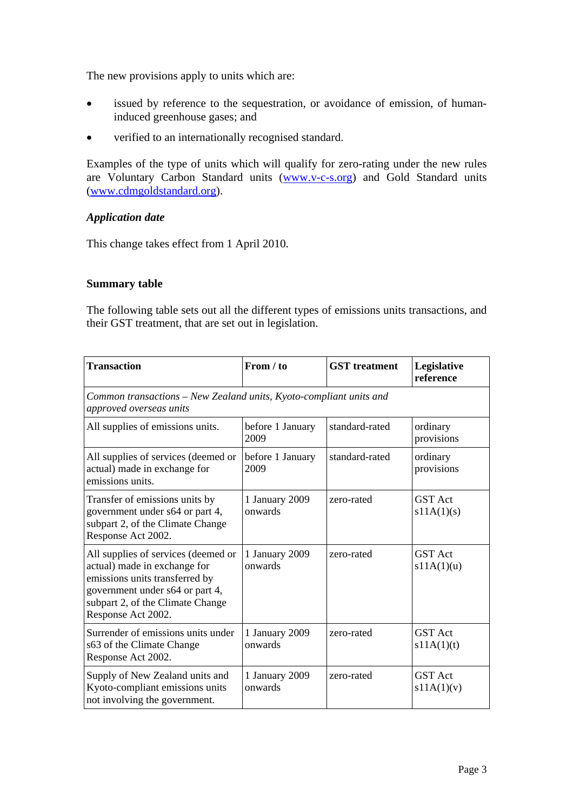The new provisions apply to units which are:

- issued by reference to the sequestration, or avoidance of emission, of humaninduced greenhouse gases; and
- verified to an internationally recognised standard.

Examples of the type of units which will qualify for zero-rating under the new rules are Voluntary Carbon Standard units (www.v-c-s.org) and Gold Standard units (www.cdmgoldstandard.org).

## *Application date*

This change takes effect from 1 April 2010.

### **Summary table**

The following table sets out all the different types of emissions units transactions, and their GST treatment, that are set out in legislation.

| <b>Transaction</b>                                                                                                                                                                                 | From / to                 | <b>GST</b> treatment | Legislative<br>reference     |  |  |
|----------------------------------------------------------------------------------------------------------------------------------------------------------------------------------------------------|---------------------------|----------------------|------------------------------|--|--|
| Common transactions - New Zealand units, Kyoto-compliant units and<br>approved overseas units                                                                                                      |                           |                      |                              |  |  |
| All supplies of emissions units.                                                                                                                                                                   | before 1 January<br>2009  | standard-rated       | ordinary<br>provisions       |  |  |
| All supplies of services (deemed or<br>actual) made in exchange for<br>emissions units.                                                                                                            | before 1 January<br>2009  | standard-rated       | ordinary<br>provisions       |  |  |
| Transfer of emissions units by<br>government under s64 or part 4,<br>subpart 2, of the Climate Change<br>Response Act 2002.                                                                        | 1 January 2009<br>onwards | zero-rated           | <b>GST</b> Act<br>s11A(1)(s) |  |  |
| All supplies of services (deemed or<br>actual) made in exchange for<br>emissions units transferred by<br>government under s64 or part 4,<br>subpart 2, of the Climate Change<br>Response Act 2002. | 1 January 2009<br>onwards | zero-rated           | <b>GST</b> Act<br>s11A(1)(u) |  |  |
| Surrender of emissions units under<br>s63 of the Climate Change<br>Response Act 2002.                                                                                                              | 1 January 2009<br>onwards | zero-rated           | <b>GST</b> Act<br>s11A(1)(t) |  |  |
| Supply of New Zealand units and<br>Kyoto-compliant emissions units<br>not involving the government.                                                                                                | 1 January 2009<br>onwards | zero-rated           | <b>GST</b> Act<br>s11A(1)(v) |  |  |